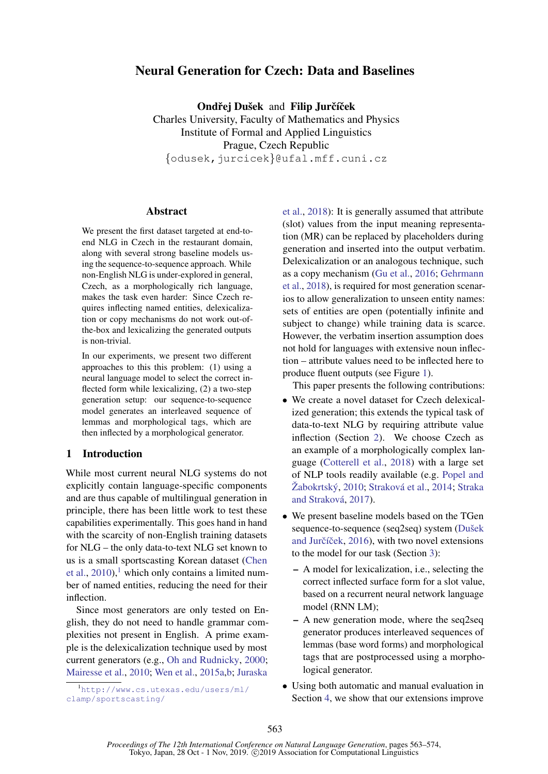# Neural Generation for Czech: Data and Baselines

Ondřej Dušek and Filip Jurčíček Charles University, Faculty of Mathematics and Physics Institute of Formal and Applied Linguistics Prague, Czech Republic {odusek,jurcicek}@ufal.mff.cuni.cz

## Abstract

We present the first dataset targeted at end-toend NLG in Czech in the restaurant domain, along with several strong baseline models using the sequence-to-sequence approach. While non-English NLG is under-explored in general, Czech, as a morphologically rich language, makes the task even harder: Since Czech requires inflecting named entities, delexicalization or copy mechanisms do not work out-ofthe-box and lexicalizing the generated outputs is non-trivial.

In our experiments, we present two different approaches to this this problem: (1) using a neural language model to select the correct inflected form while lexicalizing, (2) a two-step generation setup: our sequence-to-sequence model generates an interleaved sequence of lemmas and morphological tags, which are then inflected by a morphological generator.

## 1 Introduction

While most current neural NLG systems do not explicitly contain language-specific components and are thus capable of multilingual generation in principle, there has been little work to test these capabilities experimentally. This goes hand in hand with the scarcity of non-English training datasets for NLG – the only data-to-text NLG set known to us is a small sportscasting Korean dataset [\(Chen](#page-8-0) [et al.,](#page-8-0)  $2010$  $2010$  $2010$ ,<sup>1</sup> which only contains a limited number of named entities, reducing the need for their inflection.

Since most generators are only tested on English, they do not need to handle grammar complexities not present in English. A prime example is the delexicalization technique used by most current generators (e.g., [Oh and Rudnicky,](#page-10-0) [2000;](#page-10-0) [Mairesse et al.,](#page-10-1) [2010;](#page-10-1) [Wen et al.,](#page-11-0) [2015a](#page-11-0)[,b;](#page-11-1) [Juraska](#page-9-0)

<span id="page-0-0"></span><sup>1</sup>[http://www.cs.utexas.edu/users/ml/](#page-9-0) [clamp/sportscasting/](#page-9-0)

[et al.,](#page-9-0) [2018\)](#page-9-0): It is generally assumed that attribute (slot) values from the input meaning representation (MR) can be replaced by placeholders during generation and inserted into the output verbatim. Delexicalization or an analogous technique, such as a copy mechanism [\(Gu et al.,](#page-9-1) [2016;](#page-9-1) [Gehrmann](#page-9-2) [et al.,](#page-9-2) [2018\)](#page-9-2), is required for most generation scenarios to allow generalization to unseen entity names: sets of entities are open (potentially infinite and subject to change) while training data is scarce. However, the verbatim insertion assumption does not hold for languages with extensive noun inflection – attribute values need to be inflected here to produce fluent outputs (see Figure [1\)](#page-1-0).

This paper presents the following contributions:

- We create a novel dataset for Czech delexicalized generation; this extends the typical task of data-to-text NLG by requiring attribute value inflection (Section [2\)](#page-1-1). We choose Czech as an example of a morphologically complex language [\(Cotterell et al.,](#page-8-1) [2018\)](#page-8-1) with a large set of NLP tools readily available (e.g. [Popel and](#page-10-2) Žabokrtský, [2010;](#page-10-2) Straková et al., [2014;](#page-10-3) [Straka](#page-10-4) and Straková, [2017\)](#page-10-4).
- We present baseline models based on the TGen sequence-to-sequence (seq2seq) system (Dušek and Jurčíček, [2016\)](#page-9-3), with two novel extensions to the model for our task (Section [3\)](#page-3-0):
	- A model for lexicalization, i.e., selecting the correct inflected surface form for a slot value, based on a recurrent neural network language model (RNN LM);
	- A new generation mode, where the seq2seq generator produces interleaved sequences of lemmas (base word forms) and morphological tags that are postprocessed using a morphological generator.
- Using both automatic and manual evaluation in Section [4,](#page-5-0) we show that our extensions improve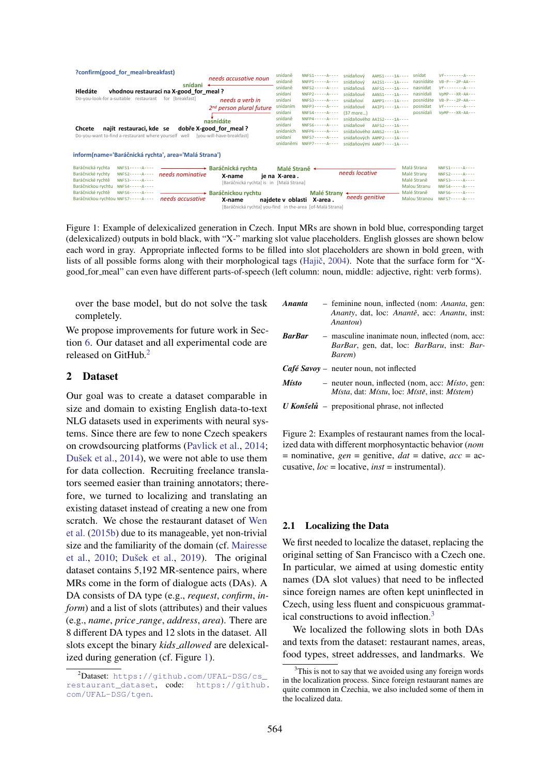<span id="page-1-0"></span>

| ?confirm(good for meal=breakfast)<br>snídani<br>vhodnou restauraci na X-good for meal?<br>Hledáte<br>Do-you-look-for a-suitable restaurant<br>for [breakfast]<br>najít restauraci, kde se<br>Chcete<br>Do-you-want to-find a-restaurant where yourself well [you-will-have-breakfast]                                                                                                                               | needs accusative noun<br>needs a verb in<br>2 <sup>nd</sup> person plural future<br>nasnídáte<br>dobře X-good for meal? | snídaně<br>snídaně<br>snídaně<br>snídaní<br>snídani<br>snídaním<br>snídani<br>snídaně<br>snídani<br>snídaních<br>snídaní<br>snídaněmi | $NNFS1---A---$<br>$NNFS2---A---A$<br>$NNFP2---A---A$<br>$NNFS3---A---A$<br>$NNFP3 - - - - A - - - -$<br>$NNFS4---A---$<br>$NNF56---A---$<br>$NNFP6---A---$<br>$NNF57---A---$<br>$NNFP7---A---A$ | snídaňový<br>snídaňový<br>snídaňová<br>snídaňové<br>snídaňoví<br>snídaňové<br>(37 more)<br>snídaňové | $AAMS1 - - -1A - - -$<br>AAIS1----1A---- nasnídáte<br>$AAFS1 - - -1A - - -$<br>$AANS1 - - -1A - - -$<br>$AAMP1---1A---$<br>$AAIP1---1A---$<br>$snídaňového AATS2---1A---$<br>$AAF52---1A---$<br>$snídaňového AANS2---1A---$<br>snídaňových AAMP2----1A----<br>snídaňovými AANP7----1A---- | snídat<br>nasnídat<br>nasnídali<br>posnídáte<br>posnídat<br>posnídali | $Vf$ -------- $A$ ----<br>$VB - P - - - 2P - AA - - -$<br>$Vf$ -------- $A$ ----<br>$VpMP---XR-AA---$<br>$VB - P - - - 2P - AA - - -$<br>$Vf$ -------- $A$ ----<br>$VDMP - - XR - AA - - -$ |
|---------------------------------------------------------------------------------------------------------------------------------------------------------------------------------------------------------------------------------------------------------------------------------------------------------------------------------------------------------------------------------------------------------------------|-------------------------------------------------------------------------------------------------------------------------|---------------------------------------------------------------------------------------------------------------------------------------|-------------------------------------------------------------------------------------------------------------------------------------------------------------------------------------------------|------------------------------------------------------------------------------------------------------|-------------------------------------------------------------------------------------------------------------------------------------------------------------------------------------------------------------------------------------------------------------------------------------------|-----------------------------------------------------------------------|---------------------------------------------------------------------------------------------------------------------------------------------------------------------------------------------|
| inform(name='Baráčnická rychta', area='Malá Strana')                                                                                                                                                                                                                                                                                                                                                                |                                                                                                                         |                                                                                                                                       |                                                                                                                                                                                                 |                                                                                                      |                                                                                                                                                                                                                                                                                           |                                                                       |                                                                                                                                                                                             |
| Baráčnická rychta<br>$NNFS1---A---$<br><u> The Common State Common State Common State Common State Common State Common State Common State Common State Common State Common State Common State Common State Common State Common State Common State Common State Common S</u><br>Baráčnické rychty<br>NNES2-----A---- needs nominative<br>Baráčnické rychtě<br>$NNFS3---A---$<br>Baráčnickou rychtu<br>$NNFS4---A---$ | $\rightarrow$ Baráčnická rvchta<br>X-name<br>[Baráčnická rychta] is in [Malá Strana]                                    | Malé Straně +<br>je na X-area.                                                                                                        |                                                                                                                                                                                                 | needs locative                                                                                       |                                                                                                                                                                                                                                                                                           | Malá Strana<br>Malé Strany<br>Malé Straně<br><b>Malou Stranu</b>      | $NNF52---A---$<br>$NNFS3---A---A$<br>$NNF54---A---$                                                                                                                                         |
| Baráčnické rvchtě<br>$NNF56---A---$<br>Baráčnickou rychtou NNFS7-----A----<br>needs accusative                                                                                                                                                                                                                                                                                                                      | → Baráčnickou rvchtu<br>X-name<br>[Baráčnická rychta] you-find in the-area [of-Malá Strana]                             |                                                                                                                                       | Malé Strany<br>najdete v oblasti X-area.                                                                                                                                                        | needs genitive                                                                                       |                                                                                                                                                                                                                                                                                           | Malé Straně<br><b>Malou Stranou</b>                                   | $NNF56---A---$<br>$NNF57---A---$                                                                                                                                                            |

Figure 1: Example of delexicalized generation in Czech. Input MRs are shown in bold blue, corresponding target (delexicalized) outputs in bold black, with "X-" marking slot value placeholders. English glosses are shown below each word in gray. Appropriate inflected forms to be filled into slot placeholders are shown in bold green, with lists of all possible forms along with their morphological tags (Hajič, [2004\)](#page-9-4). Note that the surface form for "Xgood for meal" can even have different parts-of-speech (left column: noun, middle: adjective, right: verb forms).

over the base model, but do not solve the task completely.

We propose improvements for future work in Section [6.](#page-8-2) Our dataset and all experimental code are released on GitHub.[2](#page-1-2)

# <span id="page-1-1"></span>2 Dataset

Our goal was to create a dataset comparable in size and domain to existing English data-to-text NLG datasets used in experiments with neural systems. Since there are few to none Czech speakers on crowdsourcing platforms [\(Pavlick et al.,](#page-10-5) [2014;](#page-10-5) Dušek et al., [2014\)](#page-9-5), we were not able to use them for data collection. Recruiting freelance translators seemed easier than training annotators; therefore, we turned to localizing and translating an existing dataset instead of creating a new one from scratch. We chose the restaurant dataset of [Wen](#page-11-1) [et al.](#page-11-1) [\(2015b\)](#page-11-1) due to its manageable, yet non-trivial size and the familiarity of the domain (cf. [Mairesse](#page-10-1) [et al.,](#page-10-1)  $2010$ ; Dušek et al.,  $2019$ ). The original dataset contains 5,192 MR-sentence pairs, where MRs come in the form of dialogue acts (DAs). A DA consists of DA type (e.g., *request*, *confirm*, *inform*) and a list of slots (attributes) and their values (e.g., *name*, *price range*, *address*, *area*). There are 8 different DA types and 12 slots in the dataset. All slots except the binary *kids allowed* are delexicalized during generation (cf. Figure [1\)](#page-1-0).

- <span id="page-1-4"></span>*Ananta* – feminine noun, inflected (nom: *Ananta*, gen: *Ananty*, dat, loc: *Ananteˇ*, acc: *Anantu*, inst: *Anantou*)
- *BarBar* masculine inanimate noun, inflected (nom, acc: *BarBar*, gen, dat, loc: *BarBaru*, inst: *Bar-Barem*)
- *Café Savoy* neuter noun, not inflected
- *Misto* neuter noun, inflected (nom, acc: *Misto*, gen: *Místa*, dat: *Místu*, loc: *Místě*, inst: *Místem*)
- *U Konšelů* prepositional phrase, not inflected

Figure 2: Examples of restaurant names from the localized data with different morphosyntactic behavior (*nom* = nominative, *gen* = genitive, *dat* = dative, *acc* = accusative, *loc* = locative, *inst* = instrumental).

#### 2.1 Localizing the Data

We first needed to localize the dataset, replacing the original setting of San Francisco with a Czech one. In particular, we aimed at using domestic entity names (DA slot values) that need to be inflected since foreign names are often kept uninflected in Czech, using less fluent and conspicuous grammatical constructions to avoid inflection.[3](#page-1-3)

We localized the following slots in both DAs and texts from the dataset: restaurant names, areas, food types, street addresses, and landmarks. We

<span id="page-1-2"></span> $^2$ **Dataset:** https://qithub.com/UFAL-DSG/cs\_ [restaurant\\_dataset](https://github.com/UFAL-DSG/cs_restaurant_dataset), code: [https://github.](https://github.com/UFAL-DSG/tgen) [com/UFAL-DSG/tgen](https://github.com/UFAL-DSG/tgen).

<span id="page-1-3"></span> $3$ This is not to say that we avoided using any foreign words in the localization process. Since foreign restaurant names are quite common in Czechia, we also included some of them in the localized data.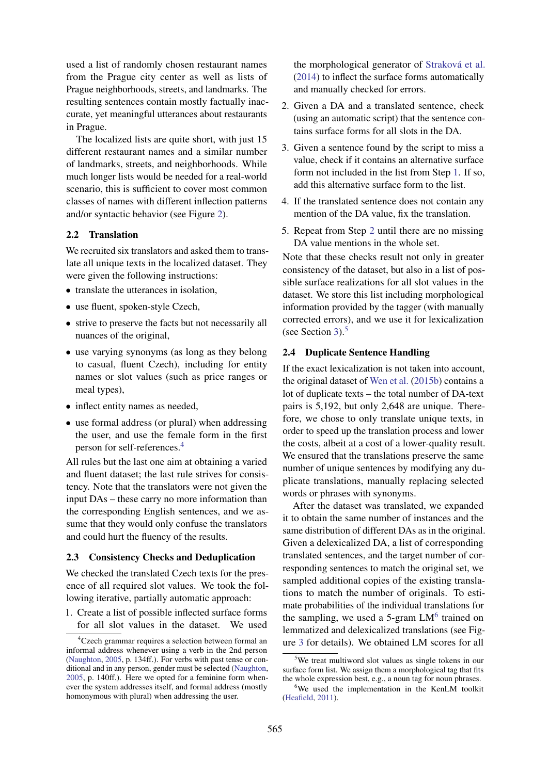used a list of randomly chosen restaurant names from the Prague city center as well as lists of Prague neighborhoods, streets, and landmarks. The resulting sentences contain mostly factually inaccurate, yet meaningful utterances about restaurants in Prague.

The localized lists are quite short, with just 15 different restaurant names and a similar number of landmarks, streets, and neighborhoods. While much longer lists would be needed for a real-world scenario, this is sufficient to cover most common classes of names with different inflection patterns and/or syntactic behavior (see Figure [2\)](#page-1-4).

## 2.2 Translation

We recruited six translators and asked them to translate all unique texts in the localized dataset. They were given the following instructions:

- translate the utterances in isolation.
- use fluent, spoken-style Czech,
- strive to preserve the facts but not necessarily all nuances of the original,
- use varying synonyms (as long as they belong to casual, fluent Czech), including for entity names or slot values (such as price ranges or meal types),
- inflect entity names as needed,
- use formal address (or plural) when addressing the user, and use the female form in the first person for self-references.[4](#page-2-0)

All rules but the last one aim at obtaining a varied and fluent dataset; the last rule strives for consistency. Note that the translators were not given the input DAs – these carry no more information than the corresponding English sentences, and we assume that they would only confuse the translators and could hurt the fluency of the results.

# 2.3 Consistency Checks and Deduplication

We checked the translated Czech texts for the presence of all required slot values. We took the following iterative, partially automatic approach:

<span id="page-2-1"></span>1. Create a list of possible inflected surface forms for all slot values in the dataset. We used

the morphological generator of Straková et al. [\(2014\)](#page-10-3) to inflect the surface forms automatically and manually checked for errors.

- <span id="page-2-2"></span>2. Given a DA and a translated sentence, check (using an automatic script) that the sentence contains surface forms for all slots in the DA.
- 3. Given a sentence found by the script to miss a value, check if it contains an alternative surface form not included in the list from Step [1.](#page-2-1) If so, add this alternative surface form to the list.
- 4. If the translated sentence does not contain any mention of the DA value, fix the translation.
- 5. Repeat from Step [2](#page-2-2) until there are no missing DA value mentions in the whole set.

Note that these checks result not only in greater consistency of the dataset, but also in a list of possible surface realizations for all slot values in the dataset. We store this list including morphological information provided by the tagger (with manually corrected errors), and we use it for lexicalization (see Section [3\)](#page-3-0). $5$ 

# <span id="page-2-5"></span>2.4 Duplicate Sentence Handling

If the exact lexicalization is not taken into account, the original dataset of [Wen et al.](#page-11-1) [\(2015b\)](#page-11-1) contains a lot of duplicate texts – the total number of DA-text pairs is 5,192, but only 2,648 are unique. Therefore, we chose to only translate unique texts, in order to speed up the translation process and lower the costs, albeit at a cost of a lower-quality result. We ensured that the translations preserve the same number of unique sentences by modifying any duplicate translations, manually replacing selected words or phrases with synonyms.

After the dataset was translated, we expanded it to obtain the same number of instances and the same distribution of different DAs as in the original. Given a delexicalized DA, a list of corresponding translated sentences, and the target number of corresponding sentences to match the original set, we sampled additional copies of the existing translations to match the number of originals. To estimate probabilities of the individual translations for the sampling, we used a 5-gram  $LM<sup>6</sup>$  $LM<sup>6</sup>$  $LM<sup>6</sup>$  trained on lemmatized and delexicalized translations (see Figure [3](#page-3-1) for details). We obtained LM scores for all

<span id="page-2-0"></span><sup>4</sup>Czech grammar requires a selection between formal an informal address whenever using a verb in the 2nd person [\(Naughton,](#page-10-6) [2005,](#page-10-6) p. 134ff.). For verbs with past tense or conditional and in any person, gender must be selected [\(Naughton,](#page-10-6) [2005,](#page-10-6) p. 140ff.). Here we opted for a feminine form whenever the system addresses itself, and formal address (mostly homonymous with plural) when addressing the user.

<span id="page-2-3"></span><sup>&</sup>lt;sup>5</sup>We treat multiword slot values as single tokens in our surface form list. We assign them a morphological tag that fits the whole expression best, e.g., a noun tag for noun phrases.

<span id="page-2-4"></span><sup>6</sup>We used the implementation in the KenLM toolkit [\(Heafield,](#page-9-7) [2011\)](#page-9-7).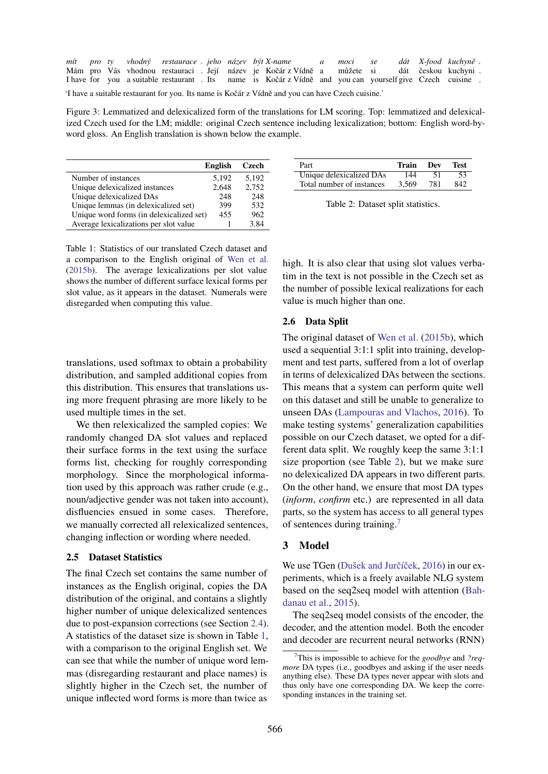<span id="page-3-1"></span>

|                                                                                                   |  |  |  |  |  |  |  | mít pro ty vhodný restaurace jeho název být X-name a moci se                                             |  |  | dát X-food kuchyně. |  |
|---------------------------------------------------------------------------------------------------|--|--|--|--|--|--|--|----------------------------------------------------------------------------------------------------------|--|--|---------------------|--|
|                                                                                                   |  |  |  |  |  |  |  | Mám pro Vás vhodnou restauraci. Její název je Kočár z Vídně a můžete si dát českou kuchyni.              |  |  |                     |  |
|                                                                                                   |  |  |  |  |  |  |  | I have for you a suitable restaurant. Its name is Kočár z Vídně and you can yourself give Czech cuisine. |  |  |                     |  |
| 'I have a suitable restaurant for you. Its name is Kočár z Vídně and you can have Czech cuisine.' |  |  |  |  |  |  |  |                                                                                                          |  |  |                     |  |

Figure 3: Lemmatized and delexicalized form of the translations for LM scoring. Top: lemmatized and delexicalized Czech used for the LM; middle: original Czech sentence including lexicalization; bottom: English word-byword gloss. An English translation is shown below the example.

<span id="page-3-2"></span>

|                                          | <b>English</b> | Czech |
|------------------------------------------|----------------|-------|
| Number of instances                      | 5,192          | 5,192 |
| Unique delexicalized instances           | 2,648          | 2,752 |
| Unique delexicalized DAs                 | 248            | 248   |
| Unique lemmas (in delexicalized set)     | 399            | 532   |
| Unique word forms (in delexicalized set) | 455            | 962   |
| Average lexicalizations per slot value   |                | 3.84  |

Table 1: Statistics of our translated Czech dataset and a comparison to the English original of [Wen et al.](#page-11-1) [\(2015b\)](#page-11-1). The average lexicalizations per slot value shows the number of different surface lexical forms per slot value, as it appears in the dataset. Numerals were disregarded when computing this value.

translations, used softmax to obtain a probability distribution, and sampled additional copies from this distribution. This ensures that translations using more frequent phrasing are more likely to be used multiple times in the set.

We then relexicalized the sampled copies: We randomly changed DA slot values and replaced their surface forms in the text using the surface forms list, checking for roughly corresponding morphology. Since the morphological information used by this approach was rather crude (e.g., noun/adjective gender was not taken into account), disfluencies ensued in some cases. Therefore, we manually corrected all relexicalized sentences, changing inflection or wording where needed.

# 2.5 Dataset Statistics

The final Czech set contains the same number of instances as the English original, copies the DA distribution of the original, and contains a slightly higher number of unique delexicalized sentences due to post-expansion corrections (see Section [2.4\)](#page-2-5). A statistics of the dataset size is shown in Table [1,](#page-3-2) with a comparison to the original English set. We can see that while the number of unique word lemmas (disregarding restaurant and place names) is slightly higher in the Czech set, the number of unique inflected word forms is more than twice as

<span id="page-3-3"></span>

| Part                      | Train | - Dev | Test. |
|---------------------------|-------|-------|-------|
| Unique delexicalized DAs  | 144   | -51   | -53   |
| Total number of instances | 3.569 | 781   | 842   |

Table 2: Dataset split statistics.

high. It is also clear that using slot values verbatim in the text is not possible in the Czech set as the number of possible lexical realizations for each value is much higher than one.

## <span id="page-3-5"></span>2.6 Data Split

The original dataset of [Wen et al.](#page-11-1) [\(2015b\)](#page-11-1), which used a sequential 3:1:1 split into training, development and test parts, suffered from a lot of overlap in terms of delexicalized DAs between the sections. This means that a system can perform quite well on this dataset and still be unable to generalize to unseen DAs [\(Lampouras and Vlachos,](#page-9-8) [2016\)](#page-9-8). To make testing systems' generalization capabilities possible on our Czech dataset, we opted for a different data split. We roughly keep the same 3:1:1 size proportion (see Table [2\)](#page-3-3), but we make sure no delexicalized DA appears in two different parts. On the other hand, we ensure that most DA types (*inform*, *confirm* etc.) are represented in all data parts, so the system has access to all general types of sentences during training.[7](#page-3-4)

# <span id="page-3-0"></span>3 Model

We use TGen (Dušek and Jurčíček, [2016\)](#page-9-3) in our experiments, which is a freely available NLG system based on the seq2seq model with attention [\(Bah](#page-8-3)[danau et al.,](#page-8-3) [2015\)](#page-8-3).

The seq2seq model consists of the encoder, the decoder, and the attention model. Both the encoder and decoder are recurrent neural networks (RNN)

<span id="page-3-4"></span><sup>7</sup>This is impossible to achieve for the *goodbye* and *?reqmore* DA types (i.e., goodbyes and asking if the user needs anything else). These DA types never appear with slots and thus only have one corresponding DA. We keep the corresponding instances in the training set.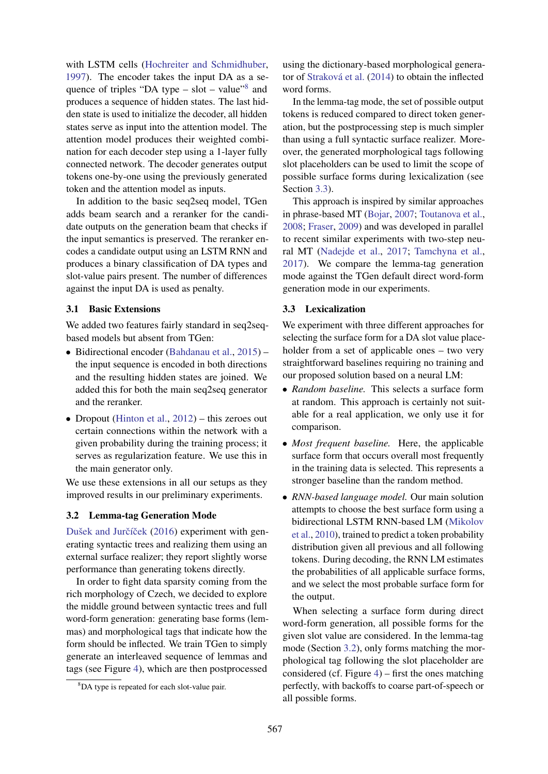with LSTM cells [\(Hochreiter and Schmidhuber,](#page-9-9) [1997\)](#page-9-9). The encoder takes the input DA as a sequence of triples "DA type  $-$  slot  $-$  value"<sup>[8](#page-4-0)</sup> and produces a sequence of hidden states. The last hidden state is used to initialize the decoder, all hidden states serve as input into the attention model. The attention model produces their weighted combination for each decoder step using a 1-layer fully connected network. The decoder generates output tokens one-by-one using the previously generated token and the attention model as inputs.

In addition to the basic seq2seq model, TGen adds beam search and a reranker for the candidate outputs on the generation beam that checks if the input semantics is preserved. The reranker encodes a candidate output using an LSTM RNN and produces a binary classification of DA types and slot-value pairs present. The number of differences against the input DA is used as penalty.

## 3.1 Basic Extensions

We added two features fairly standard in seq2seqbased models but absent from TGen:

- Bidirectional encoder [\(Bahdanau et al.,](#page-8-3) [2015\)](#page-8-3) the input sequence is encoded in both directions and the resulting hidden states are joined. We added this for both the main seq2seq generator and the reranker.
- Dropout [\(Hinton et al.,](#page-9-10)  $2012$ ) this zeroes out certain connections within the network with a given probability during the training process; it serves as regularization feature. We use this in the main generator only.

We use these extensions in all our setups as they improved results in our preliminary experiments.

#### <span id="page-4-2"></span>3.2 Lemma-tag Generation Mode

Dušek and Jurčíček [\(2016\)](#page-9-3) experiment with generating syntactic trees and realizing them using an external surface realizer; they report slightly worse performance than generating tokens directly.

In order to fight data sparsity coming from the rich morphology of Czech, we decided to explore the middle ground between syntactic trees and full word-form generation: generating base forms (lemmas) and morphological tags that indicate how the form should be inflected. We train TGen to simply generate an interleaved sequence of lemmas and tags (see Figure [4\)](#page-5-1), which are then postprocessed

using the dictionary-based morphological genera-tor of Straková et al. [\(2014\)](#page-10-3) to obtain the inflected word forms.

In the lemma-tag mode, the set of possible output tokens is reduced compared to direct token generation, but the postprocessing step is much simpler than using a full syntactic surface realizer. Moreover, the generated morphological tags following slot placeholders can be used to limit the scope of possible surface forms during lexicalization (see Section [3.3\)](#page-4-1).

This approach is inspired by similar approaches in phrase-based MT [\(Bojar,](#page-8-4) [2007;](#page-8-4) [Toutanova et al.,](#page-10-7) [2008;](#page-10-7) [Fraser,](#page-9-11) [2009\)](#page-9-11) and was developed in parallel to recent similar experiments with two-step neural MT [\(Nadejde et al.,](#page-10-8) [2017;](#page-10-8) [Tamchyna et al.,](#page-10-9) [2017\)](#page-10-9). We compare the lemma-tag generation mode against the TGen default direct word-form generation mode in our experiments.

## <span id="page-4-1"></span>3.3 Lexicalization

We experiment with three different approaches for selecting the surface form for a DA slot value placeholder from a set of applicable ones – two very straightforward baselines requiring no training and our proposed solution based on a neural LM:

- *Random baseline.* This selects a surface form at random. This approach is certainly not suitable for a real application, we only use it for comparison.
- *Most frequent baseline.* Here, the applicable surface form that occurs overall most frequently in the training data is selected. This represents a stronger baseline than the random method.
- *RNN-based language model.* Our main solution attempts to choose the best surface form using a bidirectional LSTM RNN-based LM [\(Mikolov](#page-10-10) [et al.,](#page-10-10) [2010\)](#page-10-10), trained to predict a token probability distribution given all previous and all following tokens. During decoding, the RNN LM estimates the probabilities of all applicable surface forms, and we select the most probable surface form for the output.

When selecting a surface form during direct word-form generation, all possible forms for the given slot value are considered. In the lemma-tag mode (Section [3.2\)](#page-4-2), only forms matching the morphological tag following the slot placeholder are considered (cf. Figure  $4$ ) – first the ones matching perfectly, with backoffs to coarse part-of-speech or all possible forms.

<span id="page-4-0"></span><sup>8</sup>DA type is repeated for each slot-value pair.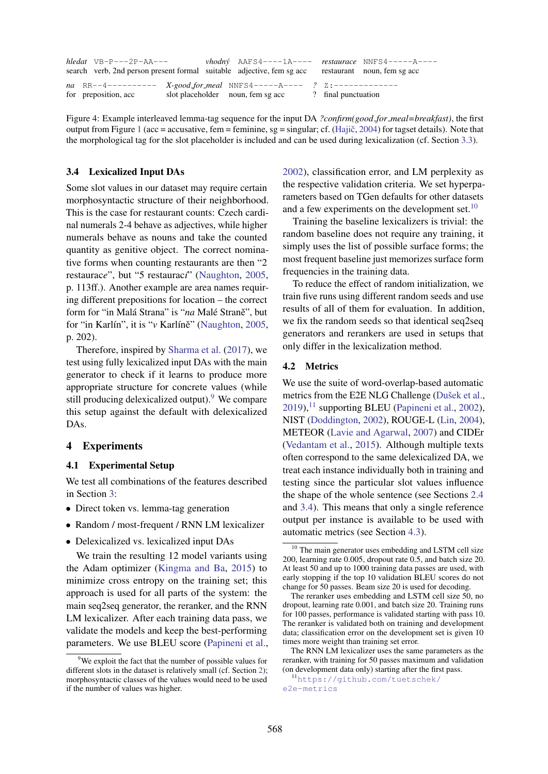<span id="page-5-1"></span>

| $hledat$ VB-P---2P-AA--- | $v \cdot \text{hodn}$ $AAFS4---1A-- \text{r}$ $R_{H}C_{H}C_{H}$ $NAFS4---A---A$<br>search verb, 2nd person present formal suitable adjective, fem sg acc restaurant noun, fem sg acc |                     |  |
|--------------------------|--------------------------------------------------------------------------------------------------------------------------------------------------------------------------------------|---------------------|--|
| for preposition, acc.    | na RR--4---------- X-good_for_meal NNFS4-----A---- ? Z:--------------<br>slot placeholder noun, fem sg acc                                                                           | ? final punctuation |  |

Figure 4: Example interleaved lemma-tag sequence for the input DA *?confirm(good for meal=breakfast)*, the first output from Figure [1](#page-1-0) (acc = accusative, fem = feminine, sg = singular; cf. (Hajič, [2004\)](#page-9-4) for tagset details). Note that the morphological tag for the slot placeholder is included and can be used during lexicalization (cf. Section [3.3\)](#page-4-1).

#### <span id="page-5-5"></span>3.4 Lexicalized Input DAs

Some slot values in our dataset may require certain morphosyntactic structure of their neighborhood. This is the case for restaurant counts: Czech cardinal numerals 2-4 behave as adjectives, while higher numerals behave as nouns and take the counted quantity as genitive object. The correct nominative forms when counting restaurants are then "2 restaurac*e*", but "5 restaurac*´ı*" [\(Naughton,](#page-10-6) [2005,](#page-10-6) p. 113ff.). Another example are area names requiring different prepositions for location – the correct form for "in Malá Strana" is "na Malé Straně", but for "in Karlín", it is "*v* Karlíně" ([Naughton,](#page-10-6) [2005,](#page-10-6) p. 202).

Therefore, inspired by [Sharma et al.](#page-10-11) [\(2017\)](#page-10-11), we test using fully lexicalized input DAs with the main generator to check if it learns to produce more appropriate structure for concrete values (while still producing delexicalized output). <sup>[9](#page-5-2)</sup> We compare this setup against the default with delexicalized DAs.

#### <span id="page-5-0"></span>4 Experiments

## 4.1 Experimental Setup

We test all combinations of the features described in Section [3:](#page-3-0)

- Direct token vs. lemma-tag generation
- Random / most-frequent / RNN LM lexicalizer
- Delexicalized vs. lexicalized input DAs

We train the resulting 12 model variants using the Adam optimizer [\(Kingma and Ba,](#page-9-12) [2015\)](#page-9-12) to minimize cross entropy on the training set; this approach is used for all parts of the system: the main seq2seq generator, the reranker, and the RNN LM lexicalizer. After each training data pass, we validate the models and keep the best-performing parameters. We use BLEU score [\(Papineni et al.,](#page-10-12) [2002\)](#page-10-12), classification error, and LM perplexity as the respective validation criteria. We set hyperparameters based on TGen defaults for other datasets and a few experiments on the development set. $10$ 

Training the baseline lexicalizers is trivial: the random baseline does not require any training, it simply uses the list of possible surface forms; the most frequent baseline just memorizes surface form frequencies in the training data.

To reduce the effect of random initialization, we train five runs using different random seeds and use results of all of them for evaluation. In addition, we fix the random seeds so that identical seq2seq generators and rerankers are used in setups that only differ in the lexicalization method.

### <span id="page-5-6"></span>4.2 Metrics

We use the suite of word-overlap-based automatic metrics from the E2E NLG Challenge (Dušek et al.,  $2019$ ,<sup>[11](#page-5-4)</sup> supporting BLEU [\(Papineni et al.,](#page-10-12) [2002\)](#page-10-12), NIST [\(Doddington,](#page-8-5) [2002\)](#page-8-5), ROUGE-L [\(Lin,](#page-10-13) [2004\)](#page-10-13), METEOR [\(Lavie and Agarwal,](#page-9-13) [2007\)](#page-9-13) and CIDEr [\(Vedantam et al.,](#page-11-2) [2015\)](#page-11-2). Although multiple texts often correspond to the same delexicalized DA, we treat each instance individually both in training and testing since the particular slot values influence the shape of the whole sentence (see Sections [2.4](#page-2-5) and [3.4\)](#page-5-5). This means that only a single reference output per instance is available to be used with automatic metrics (see Section [4.3\)](#page-6-0).

<span id="page-5-2"></span><sup>&</sup>lt;sup>9</sup>We exploit the fact that the number of possible values for different slots in the dataset is relatively small (cf. Section [2\)](#page-1-1); morphosyntactic classes of the values would need to be used if the number of values was higher.

<span id="page-5-3"></span> $10$  The main generator uses embedding and LSTM cell size 200, learning rate 0.005, dropout rate 0.5, and batch size 20. At least 50 and up to 1000 training data passes are used, with early stopping if the top 10 validation BLEU scores do not change for 50 passes. Beam size 20 is used for decoding.

The reranker uses embedding and LSTM cell size 50, no dropout, learning rate 0.001, and batch size 20. Training runs for 100 passes, performance is validated starting with pass 10. The reranker is validated both on training and development data; classification error on the development set is given 10 times more weight than training set error.

The RNN LM lexicalizer uses the same parameters as the reranker, with training for 50 passes maximum and validation (on development data only) starting after the first pass.

<span id="page-5-4"></span><sup>11</sup>[https://github.com/tuetschek/](https://github.com/tuetschek/e2e-metrics) [e2e-metrics](https://github.com/tuetschek/e2e-metrics)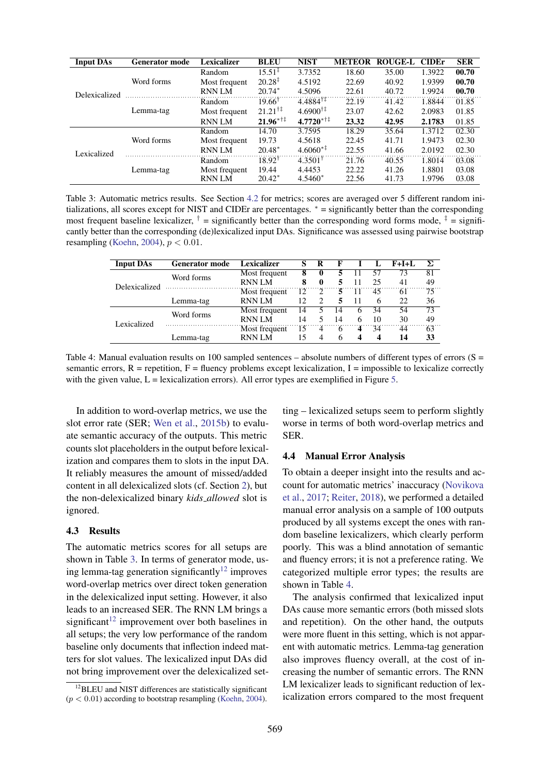<span id="page-6-1"></span>

| Input $\overline{\text{DAs}}$ | <b>Generator mode</b> | Lexicalizer   | <b>BLEU</b>               | <b>NIST</b>           | <b>METEOR</b> | <b>ROUGE-L</b> | <b>CIDEr</b> | <b>SER</b> |
|-------------------------------|-----------------------|---------------|---------------------------|-----------------------|---------------|----------------|--------------|------------|
|                               |                       | Random        | $15.51^{\frac{1}{4}}$     | 3.7352                | 18.60         | 35.00          | 1.3922       | 00.70      |
|                               | Word forms            | Most frequent | $20.28^{\ddagger}$        | 4.5192                | 22.69         | 40.92          | 1.9399       | 00.70      |
| Delexicalized                 |                       | <b>RNN LM</b> | $20.74*$                  | 4.5096                | 22.61         | 40.72          | 1.9924       | 00.70      |
|                               |                       | Random        | $19.66^{\dagger}$         | $4.4884^{\dagger}$    | 22.19         | 41.42          | 1.8844       | 01.85      |
|                               | Lemma-tag             | Most frequent | $21.21^{\dagger\ddagger}$ | $4.6900^{\dagger}$    | 23.07         | 42.62          | 2.0983       | 01.85      |
|                               |                       | <b>RNN LM</b> | $21.96$ <sup>*†‡</sup>    | $4.7720^{*+1}$        | 23.32         | 42.95          | 2.1783       | 01.85      |
|                               | Word forms            | Random        | 14.70                     | 3.7595                | 18.29         | 35.64          | 1.3712       | 02.30      |
|                               |                       | Most frequent | 19.73                     | 4.5618                | 22.45         | 41.71          | 1.9473       | 02.30      |
| Lexicalized                   |                       | <b>RNN LM</b> | $20.48*$                  | $4.6060**$            | 22.55         | 41.66          | 2.0192       | 02.30      |
|                               | Lemma-tag             | Random        | $18.92^{\dagger}$         | $4.3501$ <sup>T</sup> | 21.76         | 40.55          | 1.8014       | 03.08      |
|                               |                       | Most frequent | 19.44                     | 4.4453                | 22.22         | 41.26          | 1.8801       | 03.08      |
|                               |                       | <b>RNN LM</b> | $20.42*$                  | $4.5460*$             | 22.56         | 41.73          | 1.9796       | 03.08      |

Table 3: Automatic metrics results. See Section [4.2](#page-5-6) for metrics; scores are averaged over 5 different random initializations, all scores except for NIST and CIDEr are percentages. <sup>∗</sup> = significantly better than the corresponding most frequent baseline lexicalizer,  $\dagger$  = significantly better than the corresponding word forms mode,  $\dagger$  = significantly better than the corresponding (de)lexicalized input DAs. Significance was assessed using pairwise bootstrap resampling [\(Koehn,](#page-9-14) [2004\)](#page-9-14),  $p < 0.01$ .

<span id="page-6-3"></span>

| <b>Input DAs</b> | <b>Generator mode</b> | <b>Lexicalizer</b> | S  |                             |    |              |    | $F+I+I$ |    |
|------------------|-----------------------|--------------------|----|-----------------------------|----|--------------|----|---------|----|
|                  | Word forms            | Most frequent      | 8  | 0                           |    |              | 57 | 73      | 81 |
| Delexicalized    |                       | <b>RNN LM</b>      | 8  | $\mathbf 0$                 |    |              | 25 | 41      | 49 |
|                  |                       | Most frequent      | 12 | $\mathcal{D}_{\mathcal{L}}$ | 5  | 11           | 45 | 61      | 75 |
|                  | Lemma-tag             | <b>RNN LM</b>      | 12 | $\mathcal{D}_{\mathcal{L}}$ | 5  | 11           |    | 22      | 36 |
|                  | Word forms            | Most frequent      | 14 |                             | 14 | <sub>0</sub> | 34 | 54      | 73 |
| Lexicalized      |                       | <b>RNN LM</b>      | 14 |                             | 14 | 6            | 10 | 30      | 49 |
|                  |                       | Most frequent      | 15 | 4                           | 6  | 4            | 34 | 44      | 63 |
|                  | Lemma-tag             | <b>RNN LM</b>      | 15 | $\overline{4}$              | 6  | 4            | 4  | 14      | 33 |

Table 4: Manual evaluation results on 100 sampled sentences – absolute numbers of different types of errors  $(S =$ semantic errors,  $R =$  repetition,  $F =$  fluency problems except lexicalization, I = impossible to lexicalize correctly with the given value,  $L =$  lexicalization errors). All error types are exemplified in Figure [5.](#page-7-0)

In addition to word-overlap metrics, we use the slot error rate (SER; [Wen et al.,](#page-11-1) [2015b\)](#page-11-1) to evaluate semantic accuracy of the outputs. This metric counts slot placeholders in the output before lexicalization and compares them to slots in the input DA. It reliably measures the amount of missed/added content in all delexicalized slots (cf. Section [2\)](#page-1-1), but the non-delexicalized binary *kids allowed* slot is ignored.

## <span id="page-6-0"></span>4.3 Results

The automatic metrics scores for all setups are shown in Table [3.](#page-6-1) In terms of generator mode, us-ing lemma-tag generation significantly<sup>[12](#page-6-2)</sup> improves word-overlap metrics over direct token generation in the delexicalized input setting. However, it also leads to an increased SER. The RNN LM brings a significant<sup>[12](#page-6-2)</sup> improvement over both baselines in all setups; the very low performance of the random baseline only documents that inflection indeed matters for slot values. The lexicalized input DAs did not bring improvement over the delexicalized setting – lexicalized setups seem to perform slightly worse in terms of both word-overlap metrics and SER.

#### 4.4 Manual Error Analysis

To obtain a deeper insight into the results and account for automatic metrics' inaccuracy [\(Novikova](#page-10-14) [et al.,](#page-10-14) [2017;](#page-10-14) [Reiter,](#page-10-15) [2018\)](#page-10-15), we performed a detailed manual error analysis on a sample of 100 outputs produced by all systems except the ones with random baseline lexicalizers, which clearly perform poorly. This was a blind annotation of semantic and fluency errors; it is not a preference rating. We categorized multiple error types; the results are shown in Table [4.](#page-6-3)

The analysis confirmed that lexicalized input DAs cause more semantic errors (both missed slots and repetition). On the other hand, the outputs were more fluent in this setting, which is not apparent with automatic metrics. Lemma-tag generation also improves fluency overall, at the cost of increasing the number of semantic errors. The RNN LM lexicalizer leads to significant reduction of lexicalization errors compared to the most frequent

<span id="page-6-2"></span><sup>&</sup>lt;sup>12</sup>BLEU and NIST differences are statistically significant  $(p < 0.01)$  according to bootstrap resampling [\(Koehn,](#page-9-14) [2004\)](#page-9-14).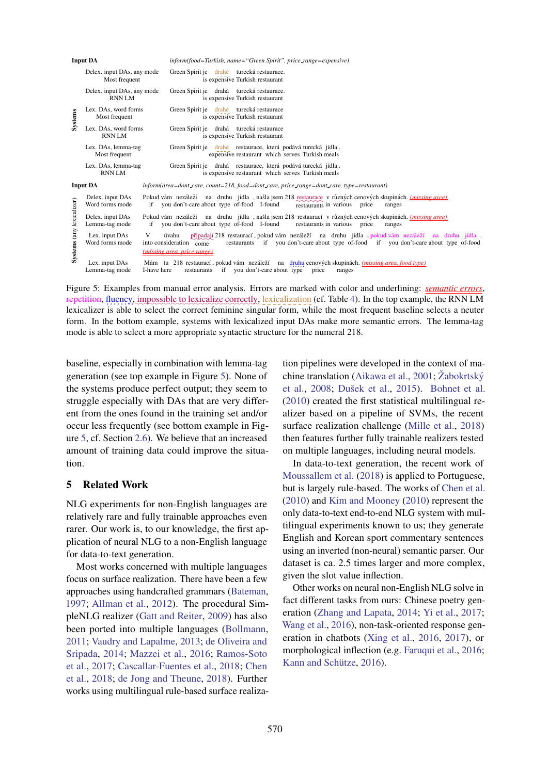<span id="page-7-0"></span>

|                           | <b>Input DA</b>                             | inform(food=Turkish, name="Green Spirit", price_range=expensive)                                                                                                                                                                                                            |
|---------------------------|---------------------------------------------|-----------------------------------------------------------------------------------------------------------------------------------------------------------------------------------------------------------------------------------------------------------------------------|
|                           | Delex. input DAs, any mode<br>Most frequent | Green Spirit je drahé turecká restaurace.<br>is expensive Turkish restaurant                                                                                                                                                                                                |
|                           | Delex. input DAs, any mode<br><b>RNN LM</b> | Green Spirit je drahá turecká restaurace.<br>is expensive Turkish restaurant                                                                                                                                                                                                |
| Systems                   | Lex. DAs, word forms<br>Most frequent       | Green Spirit je drahé turecká restaurace<br>is expensive Turkish restaurant                                                                                                                                                                                                 |
|                           | Lex. DAs, word forms<br><b>RNN LM</b>       | Green Spirit je drahá turecká restaurace<br>is expensive Turkish restaurant                                                                                                                                                                                                 |
|                           | Lex. DAs, lemma-tag<br>Most frequent        | Green Spirit je drahé restaurace, která podává turecká jídla.<br>expensive restaurant which serves Turkish meals                                                                                                                                                            |
|                           | Lex. DAs, lemma-tag<br><b>RNNLM</b>         | Green Spirit je drahá restaurace, která podává turecká jídla.<br>is expensive restaurant which serves Turkish meals                                                                                                                                                         |
|                           | <b>Input DA</b>                             | $information (area = dont\_care, count = 218, food = dont\_care, price\_range = dont\_care, type = restaurant)$                                                                                                                                                             |
|                           | Delex. input DAs<br>Word forms mode         | Pokud vám nezáleží na druhu jídla, našla jsem 218 restaurace v různých cenových skupinách. <i>(missing area)</i><br>you don't-care about type of-food I-found<br>if<br>restaurants in various<br>price<br>ranges                                                            |
|                           | Delex. input DAs<br>Lemma-tag mode          | Pokud vám nezáleží na druhu jídla, našla jsem 218 restaurací v různých cenových skupinách. <i>(missing area)</i><br>you don't-care about type of-food I-found<br>restaurants in various price<br>if<br>ranges                                                               |
| Systems (any lexicalizer) | Lex. input DAs<br>Word forms mode           | připadají 218 restaurací, pokud vám nezáleží na druhu jídla <del>, pokud vám nezáleží na druhu jídla</del><br>V<br>úvahu<br>restaurants if you don't-care about type of-food if you don't-care about type of-food<br>into consideration come<br>(missing area, price range) |
|                           | Lex. input DAs<br>Lemma-tag mode            | Mám tu 218 restaurací, pokud vám nezáleží na druhu cenových skupinách. (missing area, food type)<br>restaurants if you don't-care about type<br>I-have here<br>price<br>ranges                                                                                              |

Figure 5: Examples from manual error analysis. Errors are marked with color and underlining: *semantic errors*, repetition, fluency, impossible to lexicalize correctly, lexicalization (cf. Table [4\)](#page-6-3). In the top example, the RNN LM lexicalizer is able to select the correct feminine singular form, while the most frequent baseline selects a neuter form. In the bottom example, systems with lexicalized input DAs make more semantic errors. The lemma-tag mode is able to select a more appropriate syntactic structure for the numeral 218.

baseline, especially in combination with lemma-tag generation (see top example in Figure [5\)](#page-7-0). None of the systems produce perfect output; they seem to struggle especially with DAs that are very different from the ones found in the training set and/or occur less frequently (see bottom example in Figure [5,](#page-7-0) cf. Section [2.6\)](#page-3-5). We believe that an increased amount of training data could improve the situation.

# 5 Related Work

NLG experiments for non-English languages are relatively rare and fully trainable approaches even rarer. Our work is, to our knowledge, the first application of neural NLG to a non-English language for data-to-text generation.

Most works concerned with multiple languages focus on surface realization. There have been a few approaches using handcrafted grammars [\(Bateman,](#page-8-6) [1997;](#page-8-6) [Allman et al.,](#page-8-7) [2012\)](#page-8-7). The procedural SimpleNLG realizer [\(Gatt and Reiter,](#page-9-15) [2009\)](#page-9-15) has also been ported into multiple languages [\(Bollmann,](#page-8-8) [2011;](#page-8-8) [Vaudry and Lapalme,](#page-11-3) [2013;](#page-11-3) [de Oliveira and](#page-10-16) [Sripada,](#page-10-16) [2014;](#page-10-16) [Mazzei et al.,](#page-10-17) [2016;](#page-10-17) [Ramos-Soto](#page-10-18) [et al.,](#page-10-18) [2017;](#page-10-18) [Cascallar-Fuentes et al.,](#page-8-9) [2018;](#page-8-9) [Chen](#page-8-10) [et al.,](#page-8-10) [2018;](#page-8-10) [de Jong and Theune,](#page-9-16) [2018\)](#page-9-16). Further works using multilingual rule-based surface realization pipelines were developed in the context of ma-chine translation [\(Aikawa et al.,](#page-8-11) [2001;](#page-8-11) Žabokrtský [et al.,](#page-11-4) [2008;](#page-11-4) Dušek et al., [2015\)](#page-9-17). [Bohnet et al.](#page-8-12) [\(2010\)](#page-8-12) created the first statistical multilingual realizer based on a pipeline of SVMs, the recent surface realization challenge [\(Mille et al.,](#page-10-19) [2018\)](#page-10-19) then features further fully trainable realizers tested on multiple languages, including neural models.

In data-to-text generation, the recent work of [Moussallem et al.](#page-10-20) [\(2018\)](#page-10-20) is applied to Portuguese, but is largely rule-based. The works of [Chen et al.](#page-8-0) [\(2010\)](#page-8-0) and [Kim and Mooney](#page-9-18) [\(2010\)](#page-9-18) represent the only data-to-text end-to-end NLG system with multilingual experiments known to us; they generate English and Korean sport commentary sentences using an inverted (non-neural) semantic parser. Our dataset is ca. 2.5 times larger and more complex, given the slot value inflection.

Other works on neural non-English NLG solve in fact different tasks from ours: Chinese poetry generation [\(Zhang and Lapata,](#page-11-5) [2014;](#page-11-5) [Yi et al.,](#page-11-6) [2017;](#page-11-6) [Wang et al.,](#page-11-7) [2016\)](#page-11-7), non-task-oriented response generation in chatbots [\(Xing et al.,](#page-11-8) [2016,](#page-11-8) [2017\)](#page-11-9), or morphological inflection (e.g. [Faruqui et al.,](#page-9-19) [2016;](#page-9-19) Kann and Schütze, [2016\)](#page-9-20).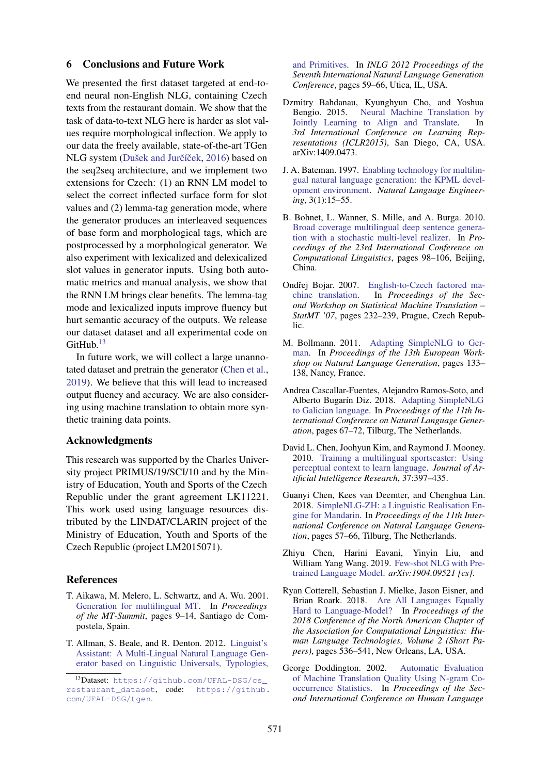#### <span id="page-8-2"></span>6 Conclusions and Future Work

We presented the first dataset targeted at end-toend neural non-English NLG, containing Czech texts from the restaurant domain. We show that the task of data-to-text NLG here is harder as slot values require morphological inflection. We apply to our data the freely available, state-of-the-art TGen NLG system (Dušek and Jurčíček, [2016\)](#page-9-3) based on the seq2seq architecture, and we implement two extensions for Czech: (1) an RNN LM model to select the correct inflected surface form for slot values and (2) lemma-tag generation mode, where the generator produces an interleaved sequences of base form and morphological tags, which are postprocessed by a morphological generator. We also experiment with lexicalized and delexicalized slot values in generator inputs. Using both automatic metrics and manual analysis, we show that the RNN LM brings clear benefits. The lemma-tag mode and lexicalized inputs improve fluency but hurt semantic accuracy of the outputs. We release our dataset dataset and all experimental code on GitHub. $13$ 

In future work, we will collect a large unannotated dataset and pretrain the generator [\(Chen et al.,](#page-8-14) [2019\)](#page-8-14). We believe that this will lead to increased output fluency and accuracy. We are also considering using machine translation to obtain more synthetic training data points.

#### Acknowledgments

This research was supported by the Charles University project PRIMUS/19/SCI/10 and by the Ministry of Education, Youth and Sports of the Czech Republic under the grant agreement LK11221. This work used using language resources distributed by the LINDAT/CLARIN project of the Ministry of Education, Youth and Sports of the Czech Republic (project LM2015071).

#### References

- <span id="page-8-11"></span>T. Aikawa, M. Melero, L. Schwartz, and A. Wu. 2001. [Generation for multilingual MT.](http://www.mt-archive.info/MTS-2001-Aikawa.pdf) In *Proceedings of the MT-Summit*, pages 9–14, Santiago de Compostela, Spain.
- <span id="page-8-7"></span>T. Allman, S. Beale, and R. Denton. 2012. [Linguist's](https://www.aclweb.org/anthology/W12-1510) [Assistant: A Multi-Lingual Natural Language Gen](https://www.aclweb.org/anthology/W12-1510)[erator based on Linguistic Universals, Typologies,](https://www.aclweb.org/anthology/W12-1510)

[and Primitives.](https://www.aclweb.org/anthology/W12-1510) In *INLG 2012 Proceedings of the Seventh International Natural Language Generation Conference*, pages 59–66, Utica, IL, USA.

- <span id="page-8-3"></span>Dzmitry Bahdanau, Kyunghyun Cho, and Yoshua Bengio. 2015. [Neural Machine Translation by](http://arxiv.org/abs/1409.0473) [Jointly Learning to Align and Translate.](http://arxiv.org/abs/1409.0473) In *3rd International Conference on Learning Representations (ICLR2015)*, San Diego, CA, USA. arXiv:1409.0473.
- <span id="page-8-6"></span>J. A. Bateman. 1997. [Enabling technology for multilin](https://pdfs.semanticscholar.org/f667/09cd08194ceb56e6a602d9d163d6358fc9aa.pdf)[gual natural language generation: the KPML devel](https://pdfs.semanticscholar.org/f667/09cd08194ceb56e6a602d9d163d6358fc9aa.pdf)[opment environment.](https://pdfs.semanticscholar.org/f667/09cd08194ceb56e6a602d9d163d6358fc9aa.pdf) *Natural Language Engineering*, 3(1):15–55.
- <span id="page-8-12"></span>B. Bohnet, L. Wanner, S. Mille, and A. Burga. 2010. [Broad coverage multilingual deep sentence genera](https://www.aclweb.org/anthology/C10-1012)[tion with a stochastic multi-level realizer.](https://www.aclweb.org/anthology/C10-1012) In *Proceedings of the 23rd International Conference on Computational Linguistics*, pages 98–106, Beijing, China.
- <span id="page-8-4"></span>Ondřej Bojar. 2007. [English-to-Czech factored ma](https://doi.org/10.3115/1626355.1626390)[chine translation.](https://doi.org/10.3115/1626355.1626390) In *Proceedings of the Second Workshop on Statistical Machine Translation – StatMT '07*, pages 232–239, Prague, Czech Republic.
- <span id="page-8-8"></span>M. Bollmann. 2011. [Adapting SimpleNLG to Ger](https://www.aclweb.org/anthology/W11-2817)[man.](https://www.aclweb.org/anthology/W11-2817) In *Proceedings of the 13th European Workshop on Natural Language Generation*, pages 133– 138, Nancy, France.
- <span id="page-8-9"></span>Andrea Cascallar-Fuentes, Alejandro Ramos-Soto, and Alberto Bugarín Diz. 2018. [Adapting SimpleNLG](https://doi.org/10.18653/v1/W18-6507) [to Galician language.](https://doi.org/10.18653/v1/W18-6507) In *Proceedings of the 11th International Conference on Natural Language Generation*, pages 67–72, Tilburg, The Netherlands.
- <span id="page-8-0"></span>David L. Chen, Joohyun Kim, and Raymond J. Mooney. 2010. [Training a multilingual sportscaster: Using](https://doi.org/10.1613/jair.2962) [perceptual context to learn language.](https://doi.org/10.1613/jair.2962) *Journal of Artificial Intelligence Research*, 37:397–435.
- <span id="page-8-10"></span>Guanyi Chen, Kees van Deemter, and Chenghua Lin. 2018. [SimpleNLG-ZH: a Linguistic Realisation En](https://doi.org/10.18653/v1/W18-6506)[gine for Mandarin.](https://doi.org/10.18653/v1/W18-6506) In *Proceedings of the 11th International Conference on Natural Language Generation*, pages 57–66, Tilburg, The Netherlands.
- <span id="page-8-14"></span>Zhiyu Chen, Harini Eavani, Yinyin Liu, and William Yang Wang. 2019. [Few-shot NLG with Pre](http://arxiv.org/abs/1904.09521)[trained Language Model.](http://arxiv.org/abs/1904.09521) *arXiv:1904.09521 [cs]*.
- <span id="page-8-1"></span>Ryan Cotterell, Sebastian J. Mielke, Jason Eisner, and Brian Roark. 2018. [Are All Languages Equally](https://doi.org/10.18653/v1/N18-2085) [Hard to Language-Model?](https://doi.org/10.18653/v1/N18-2085) In *Proceedings of the 2018 Conference of the North American Chapter of the Association for Computational Linguistics: Human Language Technologies, Volume 2 (Short Papers)*, pages 536–541, New Orleans, LA, USA.
- <span id="page-8-5"></span>George Doddington. 2002. [Automatic Evaluation](http://dl.acm.org/citation.cfm?id=1289189.1289273) [of Machine Translation Quality Using N-gram Co](http://dl.acm.org/citation.cfm?id=1289189.1289273)[occurrence Statistics.](http://dl.acm.org/citation.cfm?id=1289189.1289273) In *Proceedings of the Second International Conference on Human Language*

<span id="page-8-13"></span><sup>13</sup>Dataset: [https://github.com/UFAL-DSG/cs\\_](https://www.aclweb.org/anthology/W12-1510) [restaurant\\_dataset](https://www.aclweb.org/anthology/W12-1510), code: [https://github.](https://github.com/UFAL-DSG/tgen) [com/UFAL-DSG/tgen](https://www.aclweb.org/anthology/W12-1510).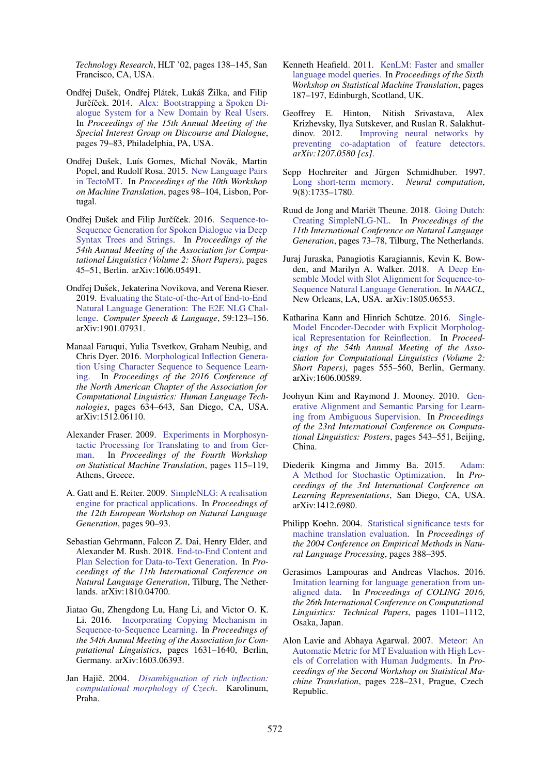*Technology Research*, HLT '02, pages 138–145, San Francisco, CA, USA.

- <span id="page-9-5"></span>Ondřej Dušek, Ondřej Plátek, Lukáš Žilka, and Filip Jurčíček. 2014. [Alex: Bootstrapping a Spoken Di](https://www.aclweb.org/anthology/W14-4311)[alogue System for a New Domain by Real Users.](https://www.aclweb.org/anthology/W14-4311) In *Proceedings of the 15th Annual Meeting of the Special Interest Group on Discourse and Dialogue*, pages 79–83, Philadelphia, PA, USA.
- <span id="page-9-17"></span>Ondřej Dušek, Luís Gomes, Michal Novák, Martin Popel, and Rudolf Rosa. 2015. [New Language Pairs](https://www.aclweb.org/anthology/W15-3009) [in TectoMT.](https://www.aclweb.org/anthology/W15-3009) In *Proceedings of the 10th Workshop on Machine Translation*, pages 98–104, Lisbon, Portugal.
- <span id="page-9-3"></span>Ondřej Dušek and Filip Jurčíček. 2016. [Sequence-to-](https://aclweb.org/anthology/P16-2008)[Sequence Generation for Spoken Dialogue via Deep](https://aclweb.org/anthology/P16-2008) [Syntax Trees and Strings.](https://aclweb.org/anthology/P16-2008) In *Proceedings of the 54th Annual Meeting of the Association for Computational Linguistics (Volume 2: Short Papers)*, pages 45–51, Berlin. arXiv:1606.05491.
- <span id="page-9-6"></span>Ondřej Dušek, Jekaterina Novikova, and Verena Rieser. 2019. [Evaluating the State-of-the-Art of End-to-End](https://doi.org/10.1016/j.csl.2019.06.009) [Natural Language Generation: The E2E NLG Chal](https://doi.org/10.1016/j.csl.2019.06.009)[lenge.](https://doi.org/10.1016/j.csl.2019.06.009) *Computer Speech & Language*, 59:123–156. arXiv:1901.07931.
- <span id="page-9-19"></span>Manaal Faruqui, Yulia Tsvetkov, Graham Neubig, and Chris Dyer. 2016. [Morphological Inflection Genera](http://arxiv.org/abs/1512.06110)[tion Using Character Sequence to Sequence Learn](http://arxiv.org/abs/1512.06110)[ing.](http://arxiv.org/abs/1512.06110) In *Proceedings of the 2016 Conference of the North American Chapter of the Association for Computational Linguistics: Human Language Technologies*, pages 634–643, San Diego, CA, USA. arXiv:1512.06110.
- <span id="page-9-11"></span>Alexander Fraser. 2009. [Experiments in Morphosyn](http://www.aclweb.org/anthology/W09-0420)[tactic Processing for Translating to and from Ger](http://www.aclweb.org/anthology/W09-0420)[man.](http://www.aclweb.org/anthology/W09-0420) In *Proceedings of the Fourth Workshop on Statistical Machine Translation*, pages 115–119, Athens, Greece.
- <span id="page-9-15"></span>A. Gatt and E. Reiter. 2009. [SimpleNLG: A realisation](http://dl.acm.org/citation.cfm?id=1610208) [engine for practical applications.](http://dl.acm.org/citation.cfm?id=1610208) In *Proceedings of the 12th European Workshop on Natural Language Generation*, pages 90–93.
- <span id="page-9-2"></span>Sebastian Gehrmann, Falcon Z. Dai, Henry Elder, and Alexander M. Rush. 2018. [End-to-End Content and](https://www.aclweb.org/anthology/W18-6505) [Plan Selection for Data-to-Text Generation.](https://www.aclweb.org/anthology/W18-6505) In *Proceedings of the 11th International Conference on Natural Language Generation*, Tilburg, The Netherlands. arXiv:1810.04700.
- <span id="page-9-1"></span>Jiatao Gu, Zhengdong Lu, Hang Li, and Victor O. K. Li. 2016. [Incorporating Copying Mechanism in](http://arxiv.org/abs/1603.06393) [Sequence-to-Sequence Learning.](http://arxiv.org/abs/1603.06393) In *Proceedings of the 54th Annual Meeting of the Association for Computational Linguistics*, pages 1631–1640, Berlin, Germany. arXiv:1603.06393.
- <span id="page-9-4"></span>Jan Hajič. 2004. [Disambiguation of rich inflection:](http://ufal.mff.cuni.cz/pdt/Morphology_and_Tagging/Doc/docc0pos.ps) *[computational morphology of Czech](http://ufal.mff.cuni.cz/pdt/Morphology_and_Tagging/Doc/docc0pos.ps)*. Karolinum, Praha.
- <span id="page-9-7"></span>Kenneth Heafield. 2011. [KenLM: Faster and smaller](https://www.aclweb.org/anthology/W11-2123) [language model queries.](https://www.aclweb.org/anthology/W11-2123) In *Proceedings of the Sixth Workshop on Statistical Machine Translation*, pages 187–197, Edinburgh, Scotland, UK.
- <span id="page-9-10"></span>Geoffrey E. Hinton, Nitish Srivastava, Alex Krizhevsky, Ilya Sutskever, and Ruslan R. Salakhutdinov. 2012. [Improving neural networks by](http://arxiv.org/abs/1207.0580) [preventing co-adaptation of feature detectors.](http://arxiv.org/abs/1207.0580) *arXiv:1207.0580 [cs]*.
- <span id="page-9-9"></span>Sepp Hochreiter and Jürgen Schmidhuber. 1997. [Long short-term memory.](http://ieeexplore.ieee.org/xpls/abs_all.jsp?arnumber=6795963) *Neural computation*, 9(8):1735–1780.
- <span id="page-9-16"></span>Ruud de Jong and Mariët Theune. 2018. [Going Dutch:](https://doi.org/10.18653/v1/W18-6508) [Creating SimpleNLG-NL.](https://doi.org/10.18653/v1/W18-6508) In *Proceedings of the 11th International Conference on Natural Language Generation*, pages 73–78, Tilburg, The Netherlands.
- <span id="page-9-0"></span>Juraj Juraska, Panagiotis Karagiannis, Kevin K. Bowden, and Marilyn A. Walker. 2018. [A Deep En](http://arxiv.org/abs/1805.06553)[semble Model with Slot Alignment for Sequence-to-](http://arxiv.org/abs/1805.06553)[Sequence Natural Language Generation.](http://arxiv.org/abs/1805.06553) In *NAACL*, New Orleans, LA, USA. arXiv:1805.06553.
- <span id="page-9-20"></span>Katharina Kann and Hinrich Schütze. 2016. [Single-](http://anthology.aclweb.org/P16-2090)[Model Encoder-Decoder with Explicit Morpholog](http://anthology.aclweb.org/P16-2090)[ical Representation for Reinflection.](http://anthology.aclweb.org/P16-2090) In *Proceedings of the 54th Annual Meeting of the Association for Computational Linguistics (Volume 2: Short Papers)*, pages 555–560, Berlin, Germany. arXiv:1606.00589.
- <span id="page-9-18"></span>Joohyun Kim and Raymond J. Mooney. 2010. [Gen](https://www.aclweb.org/anthology/C10-2062)[erative Alignment and Semantic Parsing for Learn](https://www.aclweb.org/anthology/C10-2062)[ing from Ambiguous Supervision.](https://www.aclweb.org/anthology/C10-2062) In *Proceedings of the 23rd International Conference on Computational Linguistics: Posters*, pages 543–551, Beijing, China.
- <span id="page-9-12"></span>Diederik Kingma and Jimmy Ba. 2015. [Adam:](http://arxiv.org/abs/1412.6980) [A Method for Stochastic Optimization.](http://arxiv.org/abs/1412.6980) In *Proceedings of the 3rd International Conference on Learning Representations*, San Diego, CA, USA. arXiv:1412.6980.
- <span id="page-9-14"></span>Philipp Koehn. 2004. [Statistical significance tests for](http://acl.ldc.upenn.edu/acl2004/emnlp/pdf/Koehn.pdf) [machine translation evaluation.](http://acl.ldc.upenn.edu/acl2004/emnlp/pdf/Koehn.pdf) In *Proceedings of the 2004 Conference on Empirical Methods in Natural Language Processing*, pages 388–395.
- <span id="page-9-8"></span>Gerasimos Lampouras and Andreas Vlachos. 2016. [Imitation learning for language generation from un](https://www.aclweb.org/anthology/C16-1105)[aligned data.](https://www.aclweb.org/anthology/C16-1105) In *Proceedings of COLING 2016, the 26th International Conference on Computational Linguistics: Technical Papers*, pages 1101–1112, Osaka, Japan.
- <span id="page-9-13"></span>Alon Lavie and Abhaya Agarwal. 2007. [Meteor: An](https://www.aclweb.org/anthology/W07-0734) [Automatic Metric for MT Evaluation with High Lev](https://www.aclweb.org/anthology/W07-0734)[els of Correlation with Human Judgments.](https://www.aclweb.org/anthology/W07-0734) In *Proceedings of the Second Workshop on Statistical Machine Translation*, pages 228–231, Prague, Czech Republic.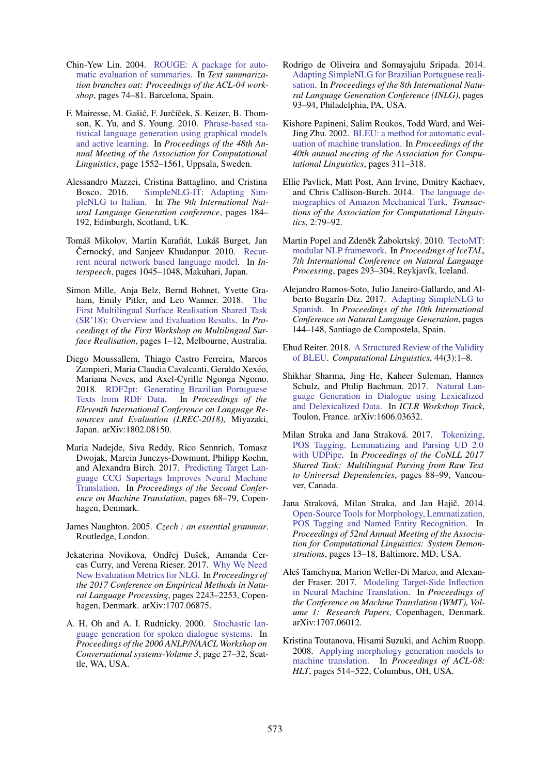- <span id="page-10-13"></span>Chin-Yew Lin. 2004. [ROUGE: A package for auto](http://anthology.aclweb.org/W/W04/W04-1013.pdf)[matic evaluation of summaries.](http://anthology.aclweb.org/W/W04/W04-1013.pdf) In *Text summarization branches out: Proceedings of the ACL-04 workshop*, pages 74–81. Barcelona, Spain.
- <span id="page-10-1"></span>F. Mairesse, M. Gašić, F. Jurčíček, S. Keizer, B. Thomson, K. Yu, and S. Young. 2010. [Phrase-based sta](https://www.aclweb.org/anthology/P10-1157)[tistical language generation using graphical models](https://www.aclweb.org/anthology/P10-1157) [and active learning.](https://www.aclweb.org/anthology/P10-1157) In *Proceedings of the 48th Annual Meeting of the Association for Computational Linguistics*, page 1552–1561, Uppsala, Sweden.
- <span id="page-10-17"></span>Alessandro Mazzei, Cristina Battaglino, and Cristina Bosco. 2016. [SimpleNLG-IT: Adapting Sim](http://www.aclweb.org/anthology/W/W16/W16-66.pdf#page=200)[pleNLG to Italian.](http://www.aclweb.org/anthology/W/W16/W16-66.pdf#page=200) In *The 9th International Natural Language Generation conference*, pages 184– 192, Edinburgh, Scotland, UK.
- <span id="page-10-10"></span>Tomáš Mikolov, Martin Karafiát, Lukáš Burget, Jan Černocký, and Sanjeev Khudanpur. 2010. [Recur](http://www.fit.vutbr.cz/research/groups/speech/servite/2010/rnnlm_mikolov.pdf)[rent neural network based language model.](http://www.fit.vutbr.cz/research/groups/speech/servite/2010/rnnlm_mikolov.pdf) In *Interspeech*, pages 1045–1048, Makuhari, Japan.
- <span id="page-10-19"></span>Simon Mille, Anja Belz, Bernd Bohnet, Yvette Graham, Emily Pitler, and Leo Wanner. 2018. [The](https://www.aclweb.org/anthology/W18-3601) [First Multilingual Surface Realisation Shared Task](https://www.aclweb.org/anthology/W18-3601) [\(SR'18\): Overview and Evaluation Results.](https://www.aclweb.org/anthology/W18-3601) In *Proceedings of the First Workshop on Multilingual Surface Realisation*, pages 1–12, Melbourne, Australia.
- <span id="page-10-20"></span>Diego Moussallem, Thiago Castro Ferreira, Marcos Zampieri, Maria Claudia Cavalcanti, Geraldo Xexéo, Mariana Neves, and Axel-Cyrille Ngonga Ngomo. 2018. [RDF2pt: Generating Brazilian Portuguese](https://www.aclweb.org/anthology/L18-1481) [Texts from RDF Data.](https://www.aclweb.org/anthology/L18-1481) In *Proceedings of the Eleventh International Conference on Language Resources and Evaluation (LREC-2018)*, Miyazaki, Japan. arXiv:1802.08150.
- <span id="page-10-8"></span>Maria Nadejde, Siva Reddy, Rico Sennrich, Tomasz Dwojak, Marcin Junczys-Dowmunt, Philipp Koehn, and Alexandra Birch. 2017. [Predicting Target Lan](https://doi.org/10.18653/v1/W17-4707)[guage CCG Supertags Improves Neural Machine](https://doi.org/10.18653/v1/W17-4707) [Translation.](https://doi.org/10.18653/v1/W17-4707) In *Proceedings of the Second Conference on Machine Translation*, pages 68–79, Copenhagen, Denmark.
- <span id="page-10-6"></span>James Naughton. 2005. *Czech : an essential grammar*. Routledge, London.
- <span id="page-10-14"></span>Jekaterina Novikova, Ondřej Dušek, Amanda Cercas Curry, and Verena Rieser. 2017. [Why We Need](http://www.aclweb.org/anthology/D17-1238) [New Evaluation Metrics for NLG.](http://www.aclweb.org/anthology/D17-1238) In *Proceedings of the 2017 Conference on Empirical Methods in Natural Language Processing*, pages 2243–2253, Copenhagen, Denmark. arXiv:1707.06875.
- <span id="page-10-0"></span>A. H. Oh and A. I. Rudnicky. 2000. [Stochastic lan](https://www.aclweb.org/anthology/W00-0306)[guage generation for spoken dialogue systems.](https://www.aclweb.org/anthology/W00-0306) In *Proceedings of the 2000 ANLP/NAACL Workshop on Conversational systems-Volume 3*, page 27–32, Seattle, WA, USA.
- <span id="page-10-16"></span>Rodrigo de Oliveira and Somayajulu Sripada. 2014. [Adapting SimpleNLG for Brazilian Portuguese reali](https://doi.org/10.3115/v1/W14-4412)[sation.](https://doi.org/10.3115/v1/W14-4412) In *Proceedings of the 8th International Natural Language Generation Conference (INLG)*, pages 93–94, Philadelphia, PA, USA.
- <span id="page-10-12"></span>Kishore Papineni, Salim Roukos, Todd Ward, and Wei-Jing Zhu. 2002. [BLEU: a method for automatic eval](https://www.aclweb.org/anthology/P02-1040)[uation of machine translation.](https://www.aclweb.org/anthology/P02-1040) In *Proceedings of the 40th annual meeting of the Association for Computational Linguistics*, pages 311–318.
- <span id="page-10-5"></span>Ellie Pavlick, Matt Post, Ann Irvine, Dmitry Kachaev, and Chris Callison-Burch. 2014. [The language de](https://www.aclweb.org/anthology/Q14-1007)[mographics of Amazon Mechanical Turk.](https://www.aclweb.org/anthology/Q14-1007) *Transactions of the Association for Computational Linguistics*, 2:79–92.
- <span id="page-10-2"></span>Martin Popel and Zdeněk Žabokrtský. 2010. [TectoMT:](http://link.springer.com/chapter/10.1007/978-3-642-14770-8_33) [modular NLP framework.](http://link.springer.com/chapter/10.1007/978-3-642-14770-8_33) In *Proceedings of IceTAL, 7th International Conference on Natural Language Processing*, pages 293–304, Reykjavík, Iceland.
- <span id="page-10-18"></span>Alejandro Ramos-Soto, Julio Janeiro-Gallardo, and Al-berto Bugarín Diz. 2017. [Adapting SimpleNLG to](https://doi.org/10.18653/v1/W17-3521) [Spanish.](https://doi.org/10.18653/v1/W17-3521) In *Proceedings of the 10th International Conference on Natural Language Generation*, pages 144–148, Santiago de Compostela, Spain.
- <span id="page-10-15"></span>Ehud Reiter. 2018. [A Structured Review of the Validity](https://doi.org/10.1162/COLI_a_00322) [of BLEU.](https://doi.org/10.1162/COLI_a_00322) *Computational Linguistics*, 44(3):1–8.
- <span id="page-10-11"></span>Shikhar Sharma, Jing He, Kaheer Suleman, Hannes Schulz, and Philip Bachman. 2017. [Natural Lan](http://arxiv.org/abs/1606.03632)[guage Generation in Dialogue using Lexicalized](http://arxiv.org/abs/1606.03632) [and Delexicalized Data.](http://arxiv.org/abs/1606.03632) In *ICLR Workshop Track*, Toulon, France. arXiv:1606.03632.
- <span id="page-10-4"></span>Milan Straka and Jana Straková. 2017. [Tokenizing,](https://doi.org/10.18653/v1/K17-3009) [POS Tagging, Lemmatizing and Parsing UD 2.0](https://doi.org/10.18653/v1/K17-3009) [with UDPipe.](https://doi.org/10.18653/v1/K17-3009) In *Proceedings of the CoNLL 2017 Shared Task: Multilingual Parsing from Raw Text to Universal Dependencies*, pages 88–99, Vancouver, Canada.
- <span id="page-10-3"></span>Jana Straková, Milan Straka, and Jan Hajič. 2014. [Open-Source Tools for Morphology, Lemmatization,](https://www.aclweb.org/anthology/P14-5003) [POS Tagging and Named Entity Recognition.](https://www.aclweb.org/anthology/P14-5003) In *Proceedings of 52nd Annual Meeting of the Association for Computational Linguistics: System Demonstrations*, pages 13–18, Baltimore, MD, USA.
- <span id="page-10-9"></span>Aleš Tamchyna, Marion Weller-Di Marco, and Alexander Fraser. 2017. [Modeling Target-Side Inflection](https://www.aclweb.org/anthology/W17-4704) [in Neural Machine Translation.](https://www.aclweb.org/anthology/W17-4704) In *Proceedings of the Conference on Machine Translation (WMT), Volume 1: Research Papers*, Copenhagen, Denmark. arXiv:1707.06012.
- <span id="page-10-7"></span>Kristina Toutanova, Hisami Suzuki, and Achim Ruopp. 2008. [Applying morphology generation models to](http://acl.eldoc.ub.rug.nl/mirror/P/P08/P08-1059.pdf) [machine translation.](http://acl.eldoc.ub.rug.nl/mirror/P/P08/P08-1059.pdf) In *Proceedings of ACL-08: HLT*, pages 514–522, Columbus, OH, USA.